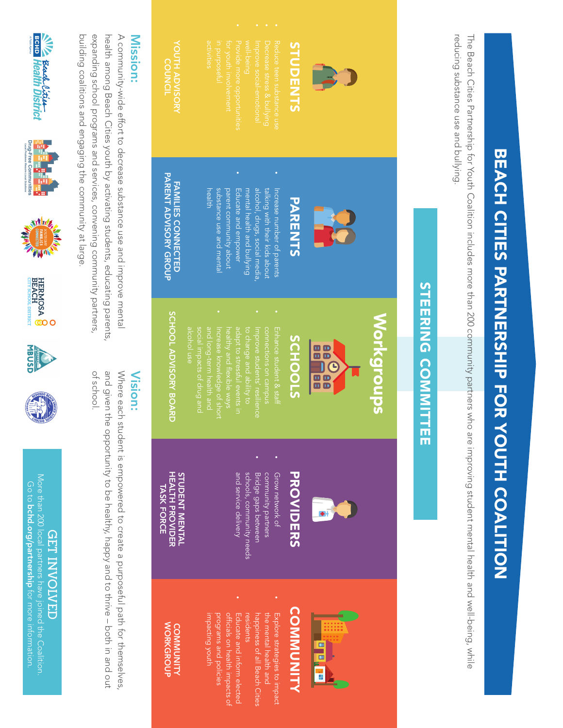# **BEACH CITIES PARTNERSHIP FOR YOUTH COALITION** BEACH CITIES PARTNERSHIP FOR YOUTH COALITION

reducing substance use and bullying. The Beach Cities Partnership for Youth Coalition includes more than 200 community partners who are improving student mental health and well-being, whie reducing substance use and bullying. The Beach Cities Partnership for Youth Coalition includes more than 200 community partners who are improving student mental health and well-being, while

# **STEERING COMMITTEE** STEERING COMMITTEE



# **STUDENTS** STUDENTS

•

- 
- 
- **AD MOOD SERVISORY**<br>YOUTH ADVISORY YOUTH ADVISORY COUNCIL



## **PARENTS** PARENTS

- alcohol, drugs, social media, talking with their kids about Increase number of parents mental health and bullying mental health and bullying alcohol, drugs, social media, talking with their kids about Increase number of parents
- health substance use and mental Educate and empower substance use and mental parent community about parent community about Educate and empower

•

### **PARENT ADVISORY GROUP** PARENT ADVISORY GROUP **FAMILIES CONNECTED** FAMILIES CONNECTED

# **Workgroups** Workgroups



## **SLOOLS** SCHOOLS

- Enhance student & staff Enhance student & staff
- 
- 

# SCHOOL ADVISORY BOARD SCHOOL ADVISORY BOARD

# **PROVIDERS PROVIDERS**

**Bridge gaps between** Grow network of Bridge gaps between community partners community partners Grow network of

•

•

•

and service delivery schools, community needs and service delivery schools, community needs

•

#### **STUDENT MENTAL HEALTH PROVIDER** HEALTH PROVIDER STUDENT MENTAL TASK FORCE TASK FORCE

# E<br>E á

# **COMMUNITY** COMMUNITY

- happiness of all Beach Cities residents the mental health and the mental health and Explore strategies to impact Educate and inform elected residents happiness of all Beach Cities Explore strategies to impact
- unnox bunpedun programs and policies officials on health impacts of Educate and inform elected impacting youth programs and policies officials on health impacts of

#### **COMMUNITY**<br>WORKGROUP WORKGROUP COMMUNITY

## **Mission:** Mission:

building coalitions and engaging the community at large expanding school programs and services, convening community partners, health among Beach Cities youth by activating students, educating parents A community-wide effort to decrease substance use and improve mental building coalitions and engaging the community at large. expanding school programs and services, convening community partners, health among Beach Cities youth by activating students, educating parents, A community-wide effort to decrease substance use and improve mental

# Vision:

and given the opportunity to be healthy, happy and to thrive – both in and out ot school. Where each student is empowered to create a purposeful path for themselves of school. and given the opportunity to be healthy, happy and to thrive – both in and out Where each student is empowered to create a purposeful path for themselves,











More than 200 local partners have joined the Coalition.<br>Go to **bchd.org/partnership** for more information. More than 200 local partners have joined the Coalition. bchd.org/partnership**GET INVOLVED GET INVOLVED** for more information.